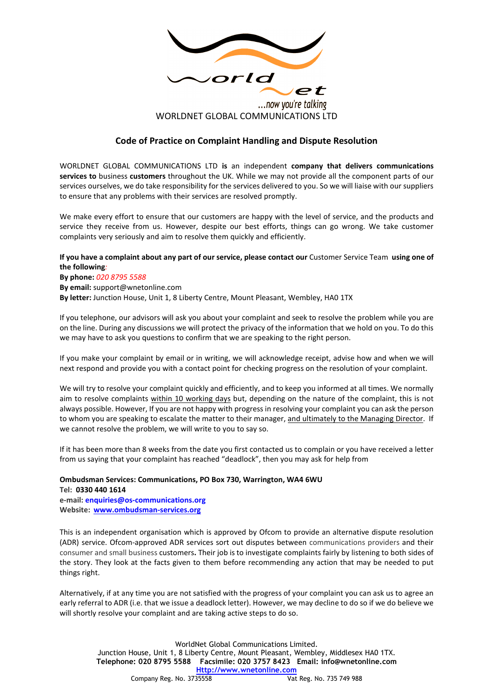

## **Code of Practice on Complaint Handling and Dispute Resolution**

WORLDNET GLOBAL COMMUNICATIONS LTD **is** an independent **company that delivers communications services to** business **customers** throughout the UK. While we may not provide all the component parts of our services ourselves, we do take responsibility for the services delivered to you. So we will liaise with our suppliers to ensure that any problems with their services are resolved promptly.

We make every effort to ensure that our customers are happy with the level of service, and the products and service they receive from us. However, despite our best efforts, things can go wrong. We take customer complaints very seriously and aim to resolve them quickly and efficiently.

## **If you have a complaint about any part of our service, please contact our** Customer Service Team **using one of the following***:*

**By phone:** *020 8795 5588* **By email:** support@wnetonline.com **By letter:** Junction House, Unit 1, 8 Liberty Centre, Mount Pleasant, Wembley, HA0 1TX

If you telephone, our advisors will ask you about your complaint and seek to resolve the problem while you are on the line. During any discussions we will protect the privacy of the information that we hold on you. To do this we may have to ask you questions to confirm that we are speaking to the right person.

If you make your complaint by email or in writing, we will acknowledge receipt, advise how and when we will next respond and provide you with a contact point for checking progress on the resolution of your complaint.

We will try to resolve your complaint quickly and efficiently, and to keep you informed at all times. We normally aim to resolve complaints within 10 working days but, depending on the nature of the complaint, this is not always possible. However, If you are not happy with progress in resolving your complaint you can ask the person to whom you are speaking to escalate the matter to their manager, and ultimately to the Managing Director. If we cannot resolve the problem, we will write to you to say so.

If it has been more than 8 weeks from the date you first contacted us to complain or you have received a letter from us saying that your complaint has reached "deadlock", then you may ask for help from

## **Ombudsman Services: Communications, PO Box 730, Warrington, WA4 6WU**

**Tel: 0330 440 1614 e-mail: enquiries@os-communications.org Website: www.ombudsman-services.org**

This is an independent organisation which is approved by Ofcom to provide an alternative dispute resolution (ADR) service. Ofcom-approved ADR services sort out disputes between communications providers and their consumer and small business customers**.** Their job is to investigate complaints fairly by listening to both sides of the story. They look at the facts given to them before recommending any action that may be needed to put things right.

Alternatively, if at any time you are not satisfied with the progress of your complaint you can ask us to agree an early referral to ADR (i.e. that we issue a deadlock letter). However, we may decline to do so if we do believe we will shortly resolve your complaint and are taking active steps to do so.